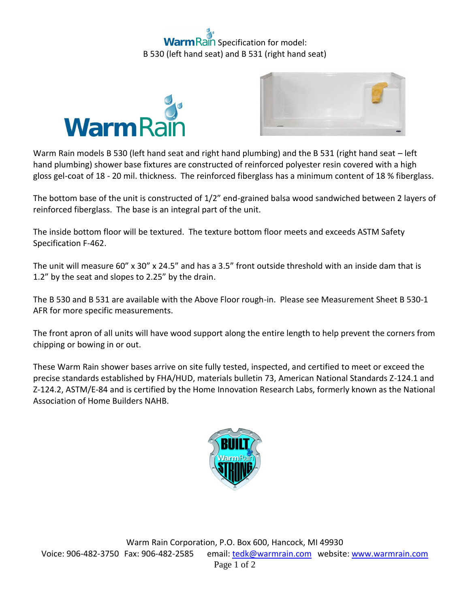## **ain** Specification for model: B 530 (left hand seat) and B 531 (right hand seat)





Warm Rain models B 530 (left hand seat and right hand plumbing) and the B 531 (right hand seat – left hand plumbing) shower base fixtures are constructed of reinforced polyester resin covered with a high gloss gel-coat of 18 - 20 mil. thickness. The reinforced fiberglass has a minimum content of 18 % fiberglass.

The bottom base of the unit is constructed of 1/2" end-grained balsa wood sandwiched between 2 layers of reinforced fiberglass. The base is an integral part of the unit.

The inside bottom floor will be textured. The texture bottom floor meets and exceeds ASTM Safety Specification F-462.

The unit will measure 60" x 30" x 24.5" and has a 3.5" front outside threshold with an inside dam that is 1.2" by the seat and slopes to 2.25" by the drain.

The B 530 and B 531 are available with the Above Floor rough-in. Please see Measurement Sheet B 530-1 AFR for more specific measurements.

The front apron of all units will have wood support along the entire length to help prevent the corners from chipping or bowing in or out.

These Warm Rain shower bases arrive on site fully tested, inspected, and certified to meet or exceed the precise standards established by FHA/HUD, materials bulletin 73, American National Standards Z-124.1 and Z-124.2, ASTM/E-84 and is certified by the Home Innovation Research Labs, formerly known as the National Association of Home Builders NAHB.